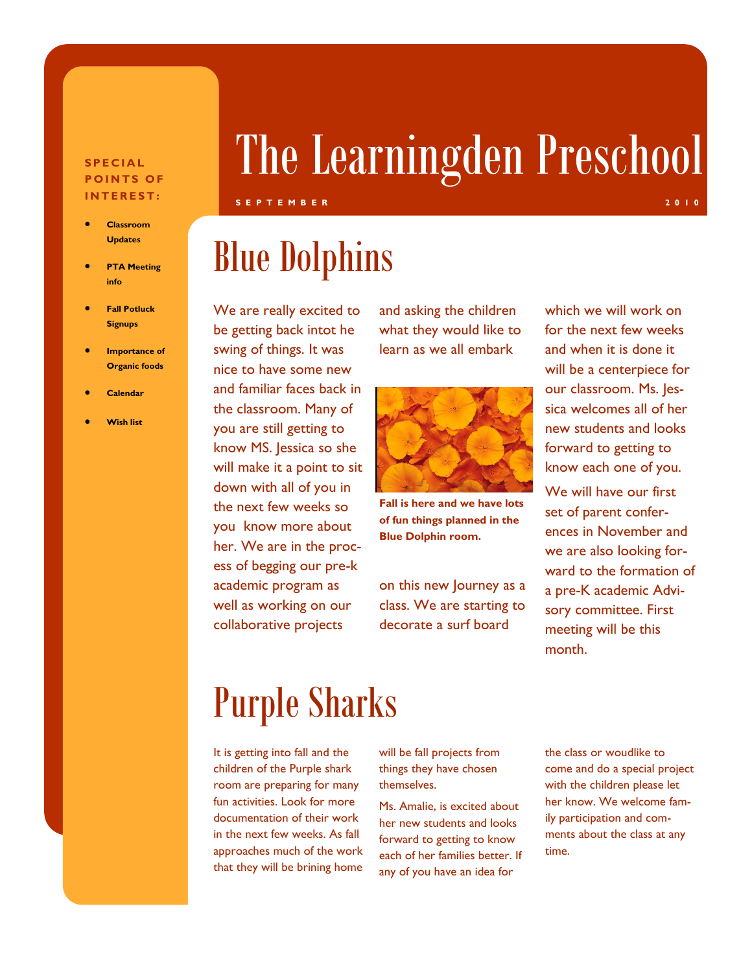### **S P E C I A L POINTS OF I N T E R E S T :**

- **Classroom Updates**
- **PTA Meeting info**
- **Fall Potluck Signups**
- **Importance of Organic foods**
- **Calendar**
- **Wish list**

# The Learningden Preschool

### **S E P T E M B E R 2 0 1 0 2 0 1 0 2 0 1 0 2 0 1 0 2 0 1 0 2 0 1 0 2 0 1 0**

# Blue Dolphins

We are really excited to be getting back intot he swing of things. It was nice to have some new and familiar faces back in the classroom. Many of you are still getting to know MS. Jessica so she will make it a point to sit down with all of you in the next few weeks so you know more about her. We are in the process of begging our pre-k academic program as well as working on our collaborative projects

and asking the children what they would like to learn as we all embark



**Fall is here and we have lots of fun things planned in the Blue Dolphin room.** 

on this new Journey as a class. We are starting to decorate a surf board

which we will work on for the next few weeks and when it is done it will be a centerpiece for our classroom. Ms. Jessica welcomes all of her new students and looks forward to getting to know each one of you.

We will have our first set of parent conferences in November and we are also looking forward to the formation of a pre-K academic Advisory committee. First meeting will be this month.

# Purple Sharks

It is getting into fall and the children of the Purple shark room are preparing for many fun activities. Look for more documentation of their work in the next few weeks. As fall approaches much of the work that they will be brining home

will be fall projects from things they have chosen themselves.

Ms. Amalie, is excited about her new students and looks forward to getting to know each of her families better. If any of you have an idea for

the class or woudlike to come and do a special project with the children please let her know. We welcome family participation and comments about the class at any time.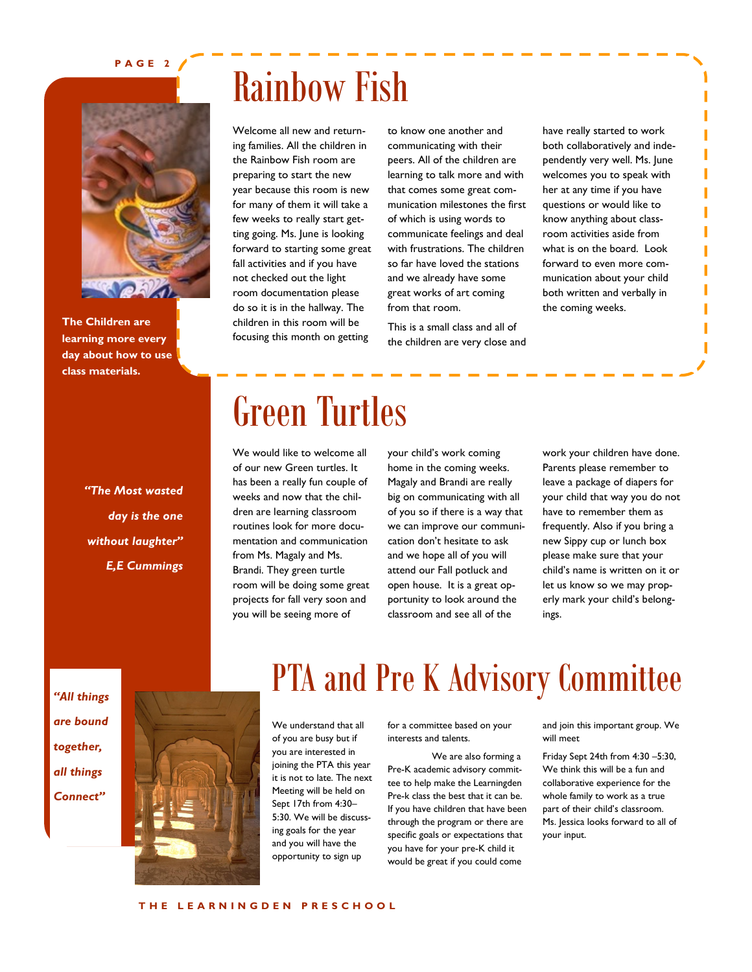### **P A G E 2**



**The Children are learning more every day about how to use class materials.** 

### *"The Most wasted day is the one without laughter" E,E Cummings*

# Rainbow Fish

Welcome all new and returning families. All the children in the Rainbow Fish room are preparing to start the new year because this room is new for many of them it will take a few weeks to really start getting going. Ms. June is looking forward to starting some great fall activities and if you have not checked out the light room documentation please do so it is in the hallway. The children in this room will be focusing this month on getting

to know one another and communicating with their peers. All of the children are learning to talk more and with that comes some great communication milestones the first of which is using words to communicate feelings and deal with frustrations. The children so far have loved the stations and we already have some great works of art coming from that room.

This is a small class and all of the children are very close and have really started to work both collaboratively and independently very well. Ms. June welcomes you to speak with her at any time if you have questions or would like to know anything about classroom activities aside from what is on the board. Look forward to even more communication about your child both written and verbally in the coming weeks.

# Green Turtles

We would like to welcome all of our new Green turtles. It has been a really fun couple of weeks and now that the children are learning classroom routines look for more documentation and communication from Ms. Magaly and Ms. Brandi. They green turtle room will be doing some great projects for fall very soon and you will be seeing more of

your child's work coming home in the coming weeks. Magaly and Brandi are really big on communicating with all of you so if there is a way that we can improve our communication don't hesitate to ask and we hope all of you will attend our Fall potluck and open house. It is a great opportunity to look around the classroom and see all of the

work your children have done. Parents please remember to leave a package of diapers for your child that way you do not have to remember them as frequently. Also if you bring a new Sippy cup or lunch box please make sure that your child's name is written on it or let us know so we may properly mark your child's belongings.

*"All things are bound together, all things Connect"*



### PTA and Pre K Advisory Committee

We understand that all of you are busy but if you are interested in joining the PTA this year it is not to late. The next Meeting will be held on Sept 17th from 4:30– 5:30. We will be discussing goals for the year and you will have the opportunity to sign up

for a committee based on your interests and talents.

We are also forming a Pre-K academic advisory committee to help make the Learningden Pre-k class the best that it can be. If you have children that have been through the program or there are specific goals or expectations that you have for your pre-K child it would be great if you could come

and join this important group. We will meet

Friday Sept 24th from 4:30 –5:30, We think this will be a fun and collaborative experience for the whole family to work as a true part of their child's classroom. Ms. Jessica looks forward to all of your input.

**T H E L E A R N I N G D E N P R E S C H O O L**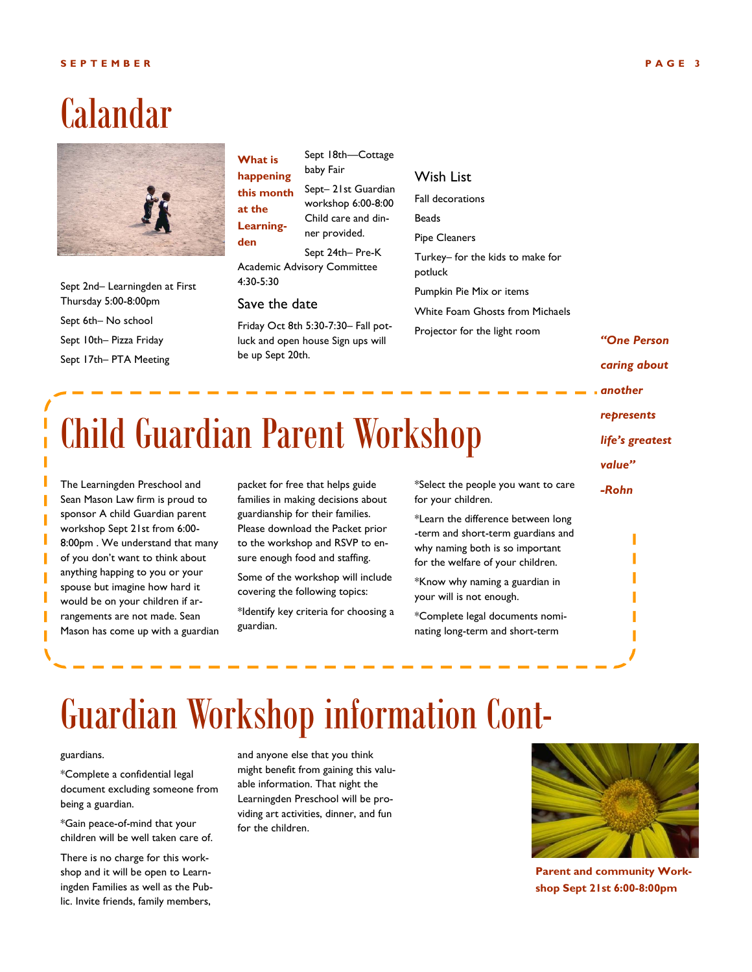### Calandar



Sept 2nd– Learningden at First Thursday 5:00-8:00pm Sept 6th– No school Sept 10th– Pizza Friday Sept 17th– PTA Meeting

Sept 18th—Cottage baby Fair Sept– 21st Guardian workshop 6:00-8:00 Child care and dinner provided. Sept 24th– Pre-K **What is happening this month at the Learningden**

Academic Advisory Committee 4:30-5:30

#### Save the date

Friday Oct 8th 5:30-7:30– Fall potluck and open house Sign ups will be up Sept 20th.

### Wish List

for your children.

why naming both is so important for the welfare of your children. \*Know why naming a guardian in

\*Complete legal documents nominating long-term and short-term

your will is not enough.

Fall decorations Beads Pipe Cleaners Turkey– for the kids to make for potluck Pumpkin Pie Mix or items White Foam Ghosts from Michaels Projector for the light room

\*Select the people you want to care \*Learn the difference between long -term and short-term guardians and *"One Person caring about another represents life's greatest value" -Rohn*

# Child Guardian Parent Workshop

The Learningden Preschool and Sean Mason Law firm is proud to sponsor A child Guardian parent workshop Sept 21st from 6:00- 8:00pm . We understand that many of you don't want to think about anything happing to you or your spouse but imagine how hard it would be on your children if arrangements are not made. Sean Mason has come up with a guardian packet for free that helps guide families in making decisions about guardianship for their families. Please download the Packet prior to the workshop and RSVP to ensure enough food and staffing.

Some of the workshop will include covering the following topics:

\*Identify key criteria for choosing a guardian.

Guardian Workshop information Cont-

#### guardians.

\*Complete a confidential legal document excluding someone from being a guardian.

\*Gain peace-of-mind that your children will be well taken care of.

There is no charge for this workshop and it will be open to Learningden Families as well as the Public. Invite friends, family members,

and anyone else that you think might benefit from gaining this valuable information. That night the Learningden Preschool will be providing art activities, dinner, and fun for the children.



**Parent and community Workshop Sept 21st 6:00-8:00pm**